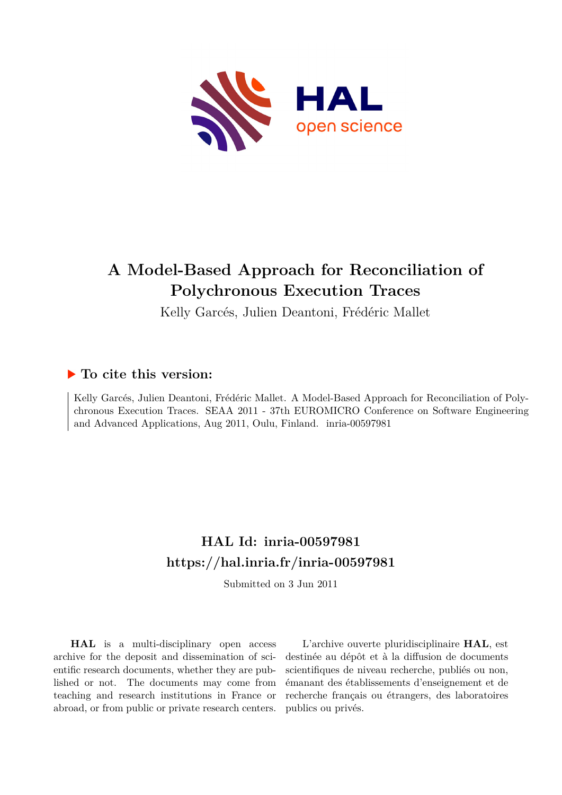

## **A Model-Based Approach for Reconciliation of Polychronous Execution Traces**

Kelly Garcés, Julien Deantoni, Frédéric Mallet

### **To cite this version:**

Kelly Garcés, Julien Deantoni, Frédéric Mallet. A Model-Based Approach for Reconciliation of Polychronous Execution Traces. SEAA 2011 - 37th EUROMICRO Conference on Software Engineering and Advanced Applications, Aug 2011, Oulu, Finland. inria-00597981

## **HAL Id: inria-00597981 <https://hal.inria.fr/inria-00597981>**

Submitted on 3 Jun 2011

**HAL** is a multi-disciplinary open access archive for the deposit and dissemination of scientific research documents, whether they are published or not. The documents may come from teaching and research institutions in France or abroad, or from public or private research centers.

L'archive ouverte pluridisciplinaire **HAL**, est destinée au dépôt et à la diffusion de documents scientifiques de niveau recherche, publiés ou non, émanant des établissements d'enseignement et de recherche français ou étrangers, des laboratoires publics ou privés.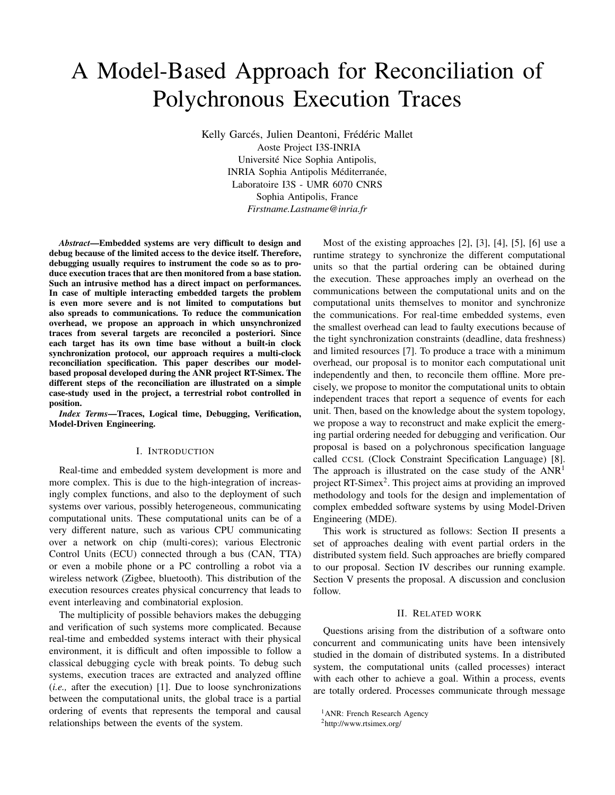# A Model-Based Approach for Reconciliation of Polychronous Execution Traces

Kelly Garcés, Julien Deantoni, Frédéric Mallet

Aoste Project I3S-INRIA Universite Nice Sophia Antipolis, ´ INRIA Sophia Antipolis Méditerranée, Laboratoire I3S - UMR 6070 CNRS Sophia Antipolis, France *Firstname.Lastname@inria.fr*

*Abstract*—Embedded systems are very difficult to design and debug because of the limited access to the device itself. Therefore, debugging usually requires to instrument the code so as to produce execution traces that are then monitored from a base station. Such an intrusive method has a direct impact on performances. In case of multiple interacting embedded targets the problem is even more severe and is not limited to computations but also spreads to communications. To reduce the communication overhead, we propose an approach in which unsynchronized traces from several targets are reconciled a posteriori. Since each target has its own time base without a built-in clock synchronization protocol, our approach requires a multi-clock reconciliation specification. This paper describes our modelbased proposal developed during the ANR project RT-Simex. The different steps of the reconciliation are illustrated on a simple case-study used in the project, a terrestrial robot controlled in position.

*Index Terms*—Traces, Logical time, Debugging, Verification, Model-Driven Engineering.

#### I. INTRODUCTION

Real-time and embedded system development is more and more complex. This is due to the high-integration of increasingly complex functions, and also to the deployment of such systems over various, possibly heterogeneous, communicating computational units. These computational units can be of a very different nature, such as various CPU communicating over a network on chip (multi-cores); various Electronic Control Units (ECU) connected through a bus (CAN, TTA) or even a mobile phone or a PC controlling a robot via a wireless network (Zigbee, bluetooth). This distribution of the execution resources creates physical concurrency that leads to event interleaving and combinatorial explosion.

The multiplicity of possible behaviors makes the debugging and verification of such systems more complicated. Because real-time and embedded systems interact with their physical environment, it is difficult and often impossible to follow a classical debugging cycle with break points. To debug such systems, execution traces are extracted and analyzed offline (*i.e.,* after the execution) [1]. Due to loose synchronizations between the computational units, the global trace is a partial ordering of events that represents the temporal and causal relationships between the events of the system.

Most of the existing approaches [2], [3], [4], [5], [6] use a runtime strategy to synchronize the different computational units so that the partial ordering can be obtained during the execution. These approaches imply an overhead on the communications between the computational units and on the computational units themselves to monitor and synchronize the communications. For real-time embedded systems, even the smallest overhead can lead to faulty executions because of the tight synchronization constraints (deadline, data freshness) and limited resources [7]. To produce a trace with a minimum overhead, our proposal is to monitor each computational unit independently and then, to reconcile them offline. More precisely, we propose to monitor the computational units to obtain independent traces that report a sequence of events for each unit. Then, based on the knowledge about the system topology, we propose a way to reconstruct and make explicit the emerging partial ordering needed for debugging and verification. Our proposal is based on a polychronous specification language called CCSL (Clock Constraint Specification Language) [8]. The approach is illustrated on the case study of the  $ANR<sup>1</sup>$ project RT-Simex<sup>2</sup>. This project aims at providing an improved methodology and tools for the design and implementation of complex embedded software systems by using Model-Driven Engineering (MDE).

This work is structured as follows: Section II presents a set of approaches dealing with event partial orders in the distributed system field. Such approaches are briefly compared to our proposal. Section IV describes our running example. Section V presents the proposal. A discussion and conclusion follow.

#### II. RELATED WORK

Questions arising from the distribution of a software onto concurrent and communicating units have been intensively studied in the domain of distributed systems. In a distributed system, the computational units (called processes) interact with each other to achieve a goal. Within a process, events are totally ordered. Processes communicate through message

<sup>&</sup>lt;sup>1</sup> ANR: French Research Agency

<sup>2</sup>http://www.rtsimex.org/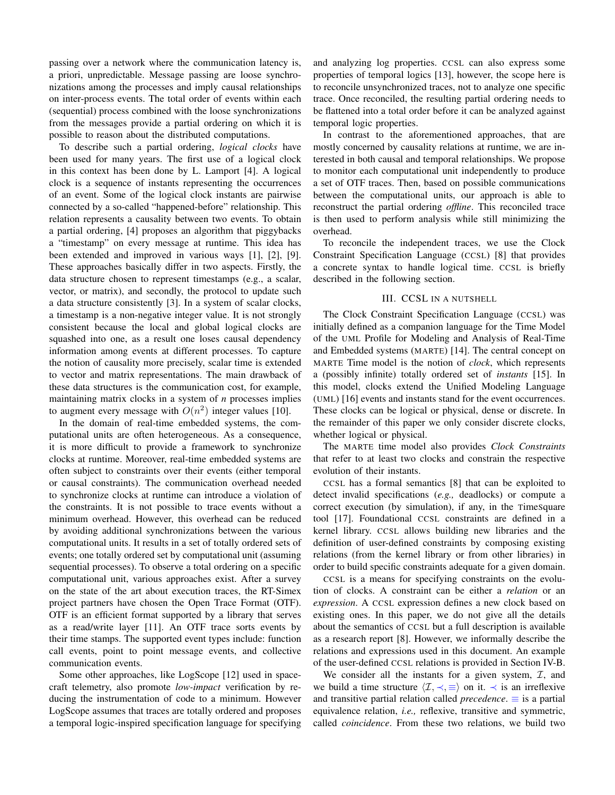passing over a network where the communication latency is, a priori, unpredictable. Message passing are loose synchronizations among the processes and imply causal relationships on inter-process events. The total order of events within each (sequential) process combined with the loose synchronizations from the messages provide a partial ordering on which it is possible to reason about the distributed computations.

To describe such a partial ordering, *logical clocks* have been used for many years. The first use of a logical clock in this context has been done by L. Lamport [4]. A logical clock is a sequence of instants representing the occurrences of an event. Some of the logical clock instants are pairwise connected by a so-called "happened-before" relationship. This relation represents a causality between two events. To obtain a partial ordering, [4] proposes an algorithm that piggybacks a "timestamp" on every message at runtime. This idea has been extended and improved in various ways [1], [2], [9]. These approaches basically differ in two aspects. Firstly, the data structure chosen to represent timestamps (e.g., a scalar, vector, or matrix), and secondly, the protocol to update such a data structure consistently [3]. In a system of scalar clocks, a timestamp is a non-negative integer value. It is not strongly consistent because the local and global logical clocks are squashed into one, as a result one loses causal dependency information among events at different processes. To capture the notion of causality more precisely, scalar time is extended to vector and matrix representations. The main drawback of these data structures is the communication cost, for example, maintaining matrix clocks in a system of *n* processes implies to augment every message with  $O(n^2)$  integer values [10].

In the domain of real-time embedded systems, the computational units are often heterogeneous. As a consequence, it is more difficult to provide a framework to synchronize clocks at runtime. Moreover, real-time embedded systems are often subject to constraints over their events (either temporal or causal constraints). The communication overhead needed to synchronize clocks at runtime can introduce a violation of the constraints. It is not possible to trace events without a minimum overhead. However, this overhead can be reduced by avoiding additional synchronizations between the various computational units. It results in a set of totally ordered sets of events; one totally ordered set by computational unit (assuming sequential processes). To observe a total ordering on a specific computational unit, various approaches exist. After a survey on the state of the art about execution traces, the RT-Simex project partners have chosen the Open Trace Format (OTF). OTF is an efficient format supported by a library that serves as a read/write layer [11]. An OTF trace sorts events by their time stamps. The supported event types include: function call events, point to point message events, and collective communication events.

Some other approaches, like LogScope [12] used in spacecraft telemetry, also promote *low-impact* verification by reducing the instrumentation of code to a minimum. However LogScope assumes that traces are totally ordered and proposes a temporal logic-inspired specification language for specifying and analyzing log properties. CCSL can also express some properties of temporal logics [13], however, the scope here is to reconcile unsynchronized traces, not to analyze one specific trace. Once reconciled, the resulting partial ordering needs to be flattened into a total order before it can be analyzed against temporal logic properties.

In contrast to the aforementioned approaches, that are mostly concerned by causality relations at runtime, we are interested in both causal and temporal relationships. We propose to monitor each computational unit independently to produce a set of OTF traces. Then, based on possible communications between the computational units, our approach is able to reconstruct the partial ordering *offline*. This reconciled trace is then used to perform analysis while still minimizing the overhead.

To reconcile the independent traces, we use the Clock Constraint Specification Language (CCSL) [8] that provides a concrete syntax to handle logical time. CCSL is briefly described in the following section.

#### III. CCSL IN A NUTSHELL

The Clock Constraint Specification Language (CCSL) was initially defined as a companion language for the Time Model of the UML Profile for Modeling and Analysis of Real-Time and Embedded systems (MARTE) [14]. The central concept on MARTE Time model is the notion of *clock*, which represents a (possibly infinite) totally ordered set of *instants* [15]. In this model, clocks extend the Unified Modeling Language (UML) [16] events and instants stand for the event occurrences. These clocks can be logical or physical, dense or discrete. In the remainder of this paper we only consider discrete clocks, whether logical or physical.

The MARTE time model also provides *Clock Constraints* that refer to at least two clocks and constrain the respective evolution of their instants.

CCSL has a formal semantics [8] that can be exploited to detect invalid specifications (*e.g.,* deadlocks) or compute a correct execution (by simulation), if any, in the TimeSquare tool [17]. Foundational CCSL constraints are defined in a kernel library. CCSL allows building new libraries and the definition of user-defined constraints by composing existing relations (from the kernel library or from other libraries) in order to build specific constraints adequate for a given domain.

CCSL is a means for specifying constraints on the evolution of clocks. A constraint can be either a *relation* or an *expression*. A CCSL expression defines a new clock based on existing ones. In this paper, we do not give all the details about the semantics of CCSL but a full description is available as a research report [8]. However, we informally describe the relations and expressions used in this document. An example of the user-defined CCSL relations is provided in Section IV-B.

We consider all the instants for a given system,  $I$ , and we build a time structure  $\langle \mathcal{I}, \prec, \equiv \rangle$  on it.  $\prec$  is an irreflexive and transitive partial relation called *precedence*.  $\equiv$  is a partial equivalence relation, *i.e.,* reflexive, transitive and symmetric, called *coincidence*. From these two relations, we build two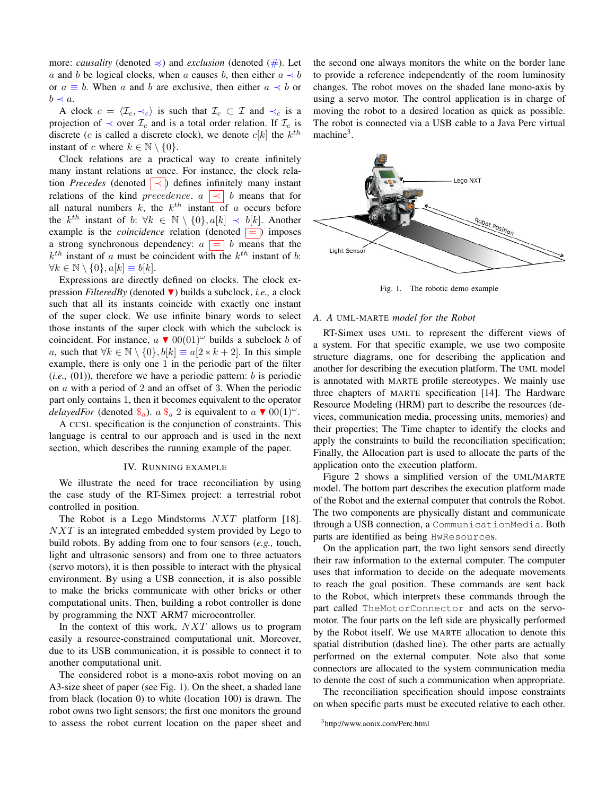more: *causality* (denoted  $\leq$ ) and *exclusion* (denoted  $(\#)$ . Let a and b be logical clocks, when a causes b, then either  $a \prec b$ or  $a \equiv b$ . When a and b are exclusive, then either  $a \prec b$  or  $b \prec a$ .

A clock  $c = \langle \mathcal{I}_c, \prec_c \rangle$  is such that  $\mathcal{I}_c \subset \mathcal{I}$  and  $\prec_c$  is a projection of  $\prec$  over  $\mathcal{I}_c$  and is a total order relation. If  $\mathcal{I}_c$  is discrete (*c* is called a discrete clock), we denote  $c[k]$  the  $k^{th}$ instant of c where  $k \in \mathbb{N} \setminus \{0\}.$ 

Clock relations are a practical way to create infinitely many instant relations at once. For instance, the clock relation *Precedes* (denoted  $\prec$ ) defines infinitely many instant relations of the kind precedence.  $a \mid \prec \mid b$  means that for all natural numbers  $k$ , the  $k^{th}$  instant of a occurs before the  $k^{th}$  instant of b:  $\forall k \in \mathbb{N} \setminus \{0\}, a[k] \prec b[k]$ . Another example is the *coincidence* relation (denoted  $\equiv$  ) imposes a strong synchronous dependency:  $a \equiv b$  means that the  $k^{th}$  instant of a must be coincident with the  $k^{th}$  instant of b:  $\forall k \in \mathbb{N} \setminus \{0\}, a[k] \equiv b[k].$ 

Expressions are directly defined on clocks. The clock expression *FilteredBy* (denoted H) builds a subclock, *i.e.,* a clock such that all its instants coincide with exactly one instant of the super clock. We use infinite binary words to select those instants of the super clock with which the subclock is coincident. For instance,  $a \blacktriangledown 00(01)^\omega$  builds a subclock b of a, such that  $\forall k \in \mathbb{N} \setminus \{0\}, b[k] \equiv a[2*k + 2]$ . In this simple example, there is only one 1 in the periodic part of the filter  $(i.e., (01))$ , therefore we have a periodic pattern: b is periodic on a with a period of 2 and an offset of 3. When the periodic part only contains 1, then it becomes equivalent to the operator *delayedFor* (denoted  $\hat{\mathcal{S}}_a$ ).  $a \hat{\mathcal{S}}_a$  2 is equivalent to  $a \blacktriangledown 00(1)^\omega$ .

A CCSL specification is the conjunction of constraints. This language is central to our approach and is used in the next section, which describes the running example of the paper.

#### IV. RUNNING EXAMPLE

We illustrate the need for trace reconciliation by using the case study of the RT-Simex project: a terrestrial robot controlled in position.

The Robot is a Lego Mindstorms  $NXT$  platform [18].  $NXT$  is an integrated embedded system provided by Lego to build robots. By adding from one to four sensors (*e.g.,* touch, light and ultrasonic sensors) and from one to three actuators (servo motors), it is then possible to interact with the physical environment. By using a USB connection, it is also possible to make the bricks communicate with other bricks or other computational units. Then, building a robot controller is done by programming the NXT ARM7 microcontroller.

In the context of this work,  $NXT$  allows us to program easily a resource-constrained computational unit. Moreover, due to its USB communication, it is possible to connect it to another computational unit.

The considered robot is a mono-axis robot moving on an A3-size sheet of paper (see Fig. 1). On the sheet, a shaded lane from black (location 0) to white (location 100) is drawn. The robot owns two light sensors; the first one monitors the ground to assess the robot current location on the paper sheet and the second one always monitors the white on the border lane to provide a reference independently of the room luminosity changes. The robot moves on the shaded lane mono-axis by using a servo motor. The control application is in charge of moving the robot to a desired location as quick as possible. The robot is connected via a USB cable to a Java Perc virtual machine<sup>3</sup>.



Fig. 1. The robotic demo example

#### *A. A* UML*-*MARTE *model for the Robot*

RT-Simex uses UML to represent the different views of a system. For that specific example, we use two composite structure diagrams, one for describing the application and another for describing the execution platform. The UML model is annotated with MARTE profile stereotypes. We mainly use three chapters of MARTE specification [14]. The Hardware Resource Modeling (HRM) part to describe the resources (devices, communication media, processing units, memories) and their properties; The Time chapter to identify the clocks and apply the constraints to build the reconciliation specification; Finally, the Allocation part is used to allocate the parts of the application onto the execution platform.

Figure 2 shows a simplified version of the UML/MARTE model. The bottom part describes the execution platform made of the Robot and the external computer that controls the Robot. The two components are physically distant and communicate through a USB connection, a CommunicationMedia. Both parts are identified as being HwResources.

On the application part, the two light sensors send directly their raw information to the external computer. The computer uses that information to decide on the adequate movements to reach the goal position. These commands are sent back to the Robot, which interprets these commands through the part called TheMotorConnector and acts on the servomotor. The four parts on the left side are physically performed by the Robot itself. We use MARTE allocation to denote this spatial distribution (dashed line). The other parts are actually performed on the external computer. Note also that some connectors are allocated to the system communication media to denote the cost of such a communication when appropriate.

The reconciliation specification should impose constraints on when specific parts must be executed relative to each other.

<sup>3</sup>http://www.aonix.com/Perc.html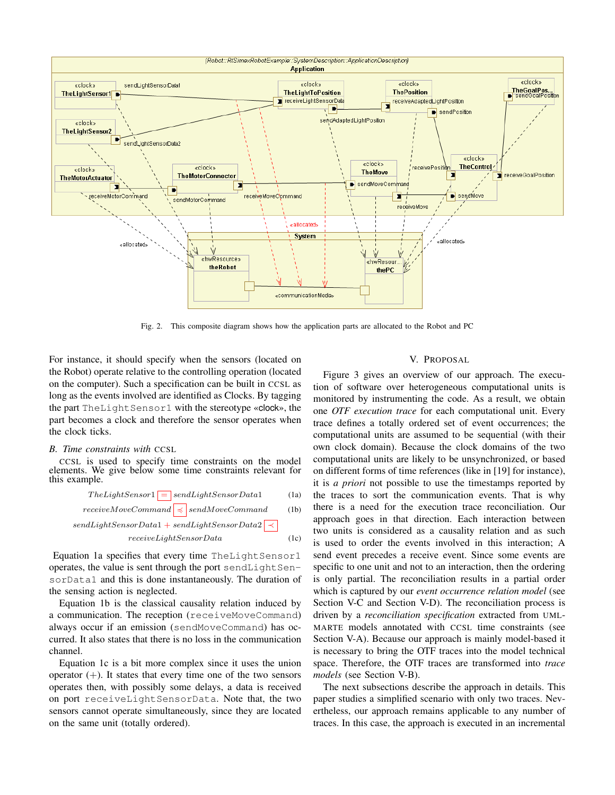

Fig. 2. This composite diagram shows how the application parts are allocated to the Robot and PC

For instance, it should specify when the sensors (located on the Robot) operate relative to the controlling operation (located on the computer). Such a specification can be built in CCSL as long as the events involved are identified as Clocks. By tagging the part TheLightSensor1 with the stereotype «clock», the part becomes a clock and therefore the sensor operates when the clock ticks.

#### *B. Time constraints with* CCSL

CCSL is used to specify time constraints on the model elements. We give below some time constraints relevant for this example.

$$
The Light Sensor 1 = sendLight Sensor Data 1 \tag{1a}
$$

$$
receiveMoveCommand \leq sendMoveCommand \tag{1b}
$$

$$
sendLightSensor Data1 + sendLightSensor Data2 \boxed{\prec}
$$
  
 
$$
receive LightSensor Data
$$
 (1c)

Equation 1a specifies that every time TheLightSensor1 operates, the value is sent through the port sendLightSensorData1 and this is done instantaneously. The duration of the sensing action is neglected.

Equation 1b is the classical causality relation induced by a communication. The reception (receiveMoveCommand) always occur if an emission (sendMoveCommand) has occurred. It also states that there is no loss in the communication channel.

Equation 1c is a bit more complex since it uses the union operator  $(+)$ . It states that every time one of the two sensors operates then, with possibly some delays, a data is received on port receiveLightSensorData. Note that, the two sensors cannot operate simultaneously, since they are located on the same unit (totally ordered).

#### V. PROPOSAL

Figure 3 gives an overview of our approach. The execution of software over heterogeneous computational units is monitored by instrumenting the code. As a result, we obtain one *OTF execution trace* for each computational unit. Every trace defines a totally ordered set of event occurrences; the computational units are assumed to be sequential (with their own clock domain). Because the clock domains of the two computational units are likely to be unsynchronized, or based on different forms of time references (like in [19] for instance), it is *a priori* not possible to use the timestamps reported by the traces to sort the communication events. That is why there is a need for the execution trace reconciliation. Our approach goes in that direction. Each interaction between two units is considered as a causality relation and as such is used to order the events involved in this interaction; A send event precedes a receive event. Since some events are specific to one unit and not to an interaction, then the ordering is only partial. The reconciliation results in a partial order which is captured by our *event occurrence relation model* (see Section V-C and Section V-D). The reconciliation process is driven by a *reconciliation specification* extracted from UML-MARTE models annotated with CCSL time constraints (see Section V-A). Because our approach is mainly model-based it is necessary to bring the OTF traces into the model technical space. Therefore, the OTF traces are transformed into *trace models* (see Section V-B).

The next subsections describe the approach in details. This paper studies a simplified scenario with only two traces. Nevertheless, our approach remains applicable to any number of traces. In this case, the approach is executed in an incremental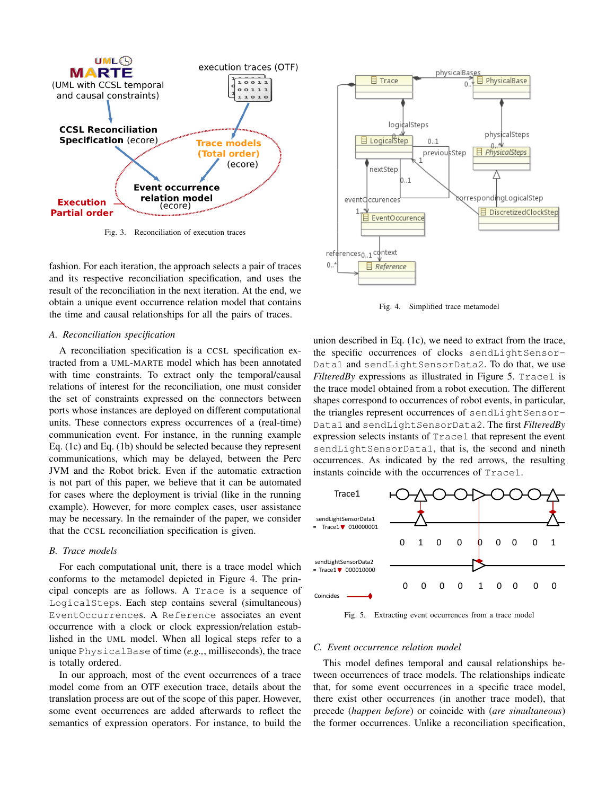

Fig. 3. Reconciliation of execution traces

fashion. For each iteration, the approach selects a pair of traces and its respective reconciliation specification, and uses the result of the reconciliation in the next iteration. At the end, we obtain a unique event occurrence relation model that contains the time and causal relationships for all the pairs of traces.

#### *A. Reconciliation specification*

A reconciliation specification is a CCSL specification extracted from a UML-MARTE model which has been annotated with time constraints. To extract only the temporal/causal relations of interest for the reconciliation, one must consider the set of constraints expressed on the connectors between ports whose instances are deployed on different computational units. These connectors express occurrences of a (real-time) communication event. For instance, in the running example Eq. (1c) and Eq. (1b) should be selected because they represent communications, which may be delayed, between the Perc JVM and the Robot brick. Even if the automatic extraction is not part of this paper, we believe that it can be automated for cases where the deployment is trivial (like in the running example). However, for more complex cases, user assistance may be necessary. In the remainder of the paper, we consider that the CCSL reconciliation specification is given.

#### *B. Trace models*

For each computational unit, there is a trace model which conforms to the metamodel depicted in Figure 4. The principal concepts are as follows. A Trace is a sequence of LogicalSteps. Each step contains several (simultaneous) EventOccurrences. A Reference associates an event occurrence with a clock or clock expression/relation established in the UML model. When all logical steps refer to a unique PhysicalBase of time (*e.g.,*, milliseconds), the trace is totally ordered.

In our approach, most of the event occurrences of a trace model come from an OTF execution trace, details about the translation process are out of the scope of this paper. However, some event occurrences are added afterwards to reflect the semantics of expression operators. For instance, to build the



Fig. 4. Simplified trace metamodel

union described in Eq. (1c), we need to extract from the trace, the specific occurrences of clocks sendLightSensor-Data1 and sendLightSensorData2. To do that, we use *FilteredBy* expressions as illustrated in Figure 5. Trace1 is the trace model obtained from a robot execution. The different shapes correspond to occurrences of robot events, in particular, the triangles represent occurrences of sendLightSensor-Data1 and sendLightSensorData2. The first *FilteredBy* expression selects instants of Trace1 that represent the event sendLightSensorData1, that is, the second and nineth occurrences. As indicated by the red arrows, the resulting instants coincide with the occurrences of Trace1.



Fig. 5. Extracting event occurrences from a trace model

#### *C. Event occurrence relation model*

This model defines temporal and causal relationships between occurrences of trace models. The relationships indicate that, for some event occurrences in a specific trace model, there exist other occurrences (in another trace model), that precede (*happen before*) or coincide with (*are simultaneous*) the former occurrences. Unlike a reconciliation specification,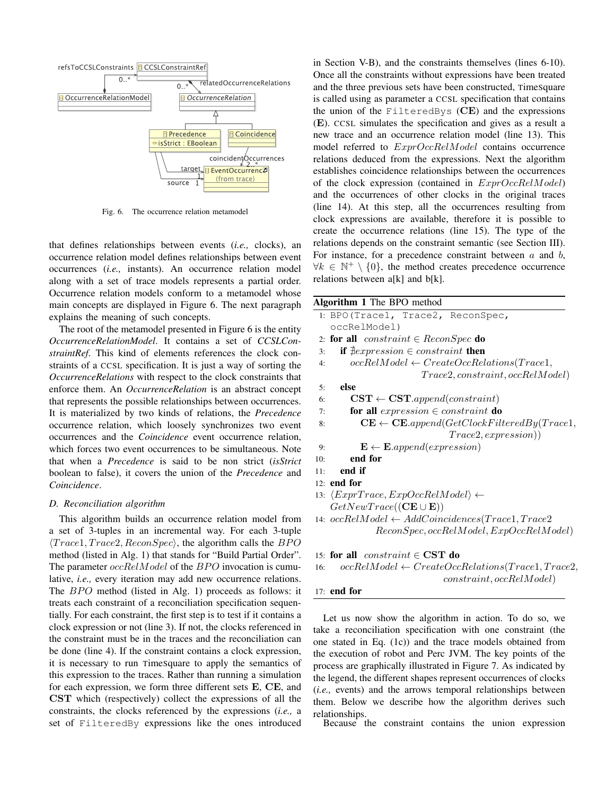

Fig. 6. The occurrence relation metamodel

that defines relationships between events (*i.e.,* clocks), an occurrence relation model defines relationships between event occurrences (*i.e.,* instants). An occurrence relation model along with a set of trace models represents a partial order. Occurrence relation models conform to a metamodel whose main concepts are displayed in Figure 6. The next paragraph explains the meaning of such concepts.

The root of the metamodel presented in Figure 6 is the entity *OccurrenceRelationModel*. It contains a set of *CCSLConstraintRef*. This kind of elements references the clock constraints of a CCSL specification. It is just a way of sorting the *OccurrenceRelations* with respect to the clock constraints that enforce them. An *OccurrenceRelation* is an abstract concept that represents the possible relationships between occurrences. It is materialized by two kinds of relations, the *Precedence* occurrence relation, which loosely synchronizes two event occurrences and the *Coincidence* event occurrence relation, which forces two event occurrences to be simultaneous. Note that when a *Precedence* is said to be non strict (*isStrict* boolean to false), it covers the union of the *Precedence* and *Coincidence*.

#### *D. Reconciliation algorithm*

This algorithm builds an occurrence relation model from a set of 3-tuples in an incremental way. For each 3-tuple  $\langle Trace1, Trace2, ReconSpec \rangle$ , the algorithm calls the BPO method (listed in Alg. 1) that stands for "Build Partial Order". The parameter  $occRelModel$  of the  $BPO$  invocation is cumulative, *i.e.,* every iteration may add new occurrence relations. The  $BPO$  method (listed in Alg. 1) proceeds as follows: it treats each constraint of a reconciliation specification sequentially. For each constraint, the first step is to test if it contains a clock expression or not (line 3). If not, the clocks referenced in the constraint must be in the traces and the reconciliation can be done (line 4). If the constraint contains a clock expression, it is necessary to run TimeSquare to apply the semantics of this expression to the traces. Rather than running a simulation for each expression, we form three different sets E, CE, and CST which (respectively) collect the expressions of all the constraints, the clocks referenced by the expressions (*i.e.,* a set of FilteredBy expressions like the ones introduced in Section V-B), and the constraints themselves (lines 6-10). Once all the constraints without expressions have been treated and the three previous sets have been constructed, TimeSquare is called using as parameter a CCSL specification that contains the union of the FilteredBys (CE) and the expressions (E). CCSL simulates the specification and gives as a result a new trace and an occurrence relation model (line 13). This model referred to ExprOccRelModel contains occurrence relations deduced from the expressions. Next the algorithm establishes coincidence relationships between the occurrences of the clock expression (contained in ExprOccRelModel) and the occurrences of other clocks in the original traces (line 14). At this step, all the occurrences resulting from clock expressions are available, therefore it is possible to create the occurrence relations (line 15). The type of the relations depends on the constraint semantic (see Section III). For instance, for a precedence constraint between  $a$  and  $b$ ,  $\forall k \in \mathbb{N}^+ \setminus \{0\}$ , the method creates precedence occurrence relations between  $a[k]$  and  $b[k]$ .

|     | Algorithm 1 The BPO method                                                |
|-----|---------------------------------------------------------------------------|
|     | 1: BPO(Trace1, Trace2, ReconSpec,                                         |
|     | occRelModel)                                                              |
|     | 2: for all constraint $\in$ ReconSpec do                                  |
| 3:  | <b>if</b> $\exists$ <i>expression</i> $\in$ <i>constraint</i> <b>then</b> |
| 4:  | $occRelModel \leftarrow CreateOccrelations(Trace1,$                       |
|     | Trace2, constraint, occRelModel)                                          |
| 5:  | else                                                                      |
| 6:  | $\textbf{CST} \leftarrow \textbf{CST}.append(constraint)$                 |
| 7:  | for all <i>expression</i> $\in$ <i>constraint</i> do                      |
| 8:  | $CE \leftarrow CE.append(GetClockFilteredBy(Trace1,$                      |
|     | Trace2, expression)                                                       |
| 9:  | $\mathbf{E} \leftarrow \mathbf{E}.append(expression)$                     |
| 10: | end for                                                                   |
| 11: | end if                                                                    |
|     | $12:$ end for                                                             |
|     | 13: $\langle ExprTrace, ExpOccRelModel \rangle \leftarrow$                |
|     | $GetNewTrace((CE \cup E))$                                                |
|     | 14: $occRelModel \leftarrow AddCoincidences(Trace1, Trace2$               |
|     | $ReconSpec, occRelModel, ExpOccRelModel)$                                 |
|     |                                                                           |

15: for all  $constraint \in \text{CST do}$ 

```
16: occRelModel \leftarrow CreateOccrelations(Trace1, Trace2,
```
constraint, occRelModel)

#### 17: end for

Let us now show the algorithm in action. To do so, we take a reconciliation specification with one constraint (the one stated in Eq. (1c)) and the trace models obtained from the execution of robot and Perc JVM. The key points of the process are graphically illustrated in Figure 7. As indicated by the legend, the different shapes represent occurrences of clocks (*i.e.,* events) and the arrows temporal relationships between them. Below we describe how the algorithm derives such relationships.

Because the constraint contains the union expression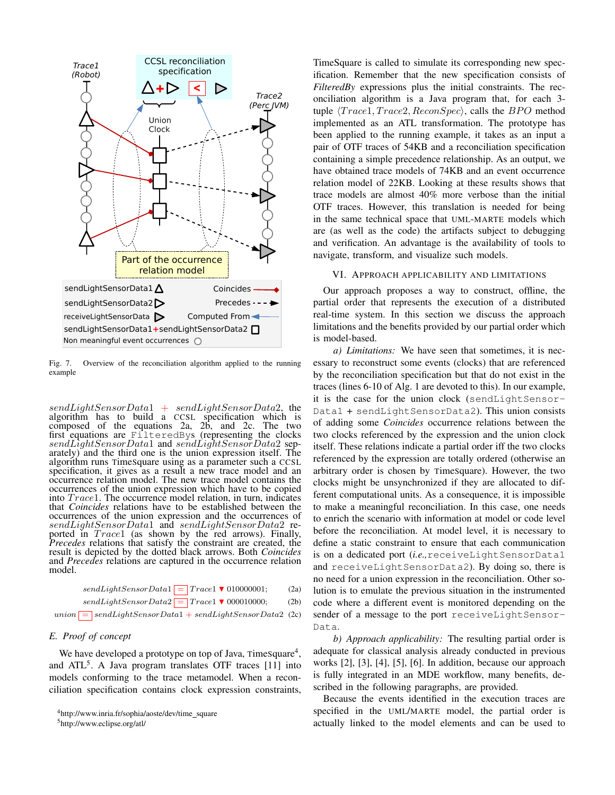

Fig. 7. Overview of the reconciliation algorithm applied to the running example

 $sendLightSensorData1 + sendLightSensorData2$ , the algorithm has to build a CCSL specification which is composed of the equations 2a, 2b, and 2c. The two first equations are FilteredBys (representing the clocks sendLightSensorData1 and sendLightSensorData2 separately) and the third one is the union expression itself. The algorithm runs TimeSquare using as a parameter such a CCSL specification, it gives as a result a new trace model and an occurrence relation model. The new trace model contains the occurrences of the union expression which have to be copied into  $Trace1$ . The occurrence model relation, in turn, indicates that *Coincides* relations have to be established between the occurrences of the union expression and the occurrences of sendLightSensorData1 and sendLightSensorData2 reported in  $Trace1$  (as shown by the red arrows). Finally, *Precedes* relations that satisfy the constraint are created, the result is depicted by the dotted black arrows. Both *Coincides* and *Precedes* relations are captured in the occurrence relation model.

$$
sendLightSensorData1 \boxed{=} Trace1 \blacktriangledown 010000001; \tag{2a}
$$

$$
sendLightSensorData2 \boxed{=} Trace1 \blacktriangledown 000010000;
$$
 (2b)

 $union = sendLightSensorData1 + sendLightSensorData2 (2c)$ 

#### *E. Proof of concept*

We have developed a prototype on top of Java, TimeSquare<sup>4</sup>, and  $ATL<sup>5</sup>$ . A Java program translates OTF traces [11] into models conforming to the trace metamodel. When a reconciliation specification contains clock expression constraints,

<sup>5</sup>http://www.eclipse.org/atl/

TimeSquare is called to simulate its corresponding new specification. Remember that the new specification consists of *FilteredBy* expressions plus the initial constraints. The reconciliation algorithm is a Java program that, for each 3 tuple  $\langle Trace1, Trace2, ReconSpec \rangle$ , calls the BPO method implemented as an ATL transformation. The prototype has been applied to the running example, it takes as an input a pair of OTF traces of 54KB and a reconciliation specification containing a simple precedence relationship. As an output, we have obtained trace models of 74KB and an event occurrence relation model of 22KB. Looking at these results shows that trace models are almost 40% more verbose than the initial OTF traces. However, this translation is needed for being in the same technical space that UML-MARTE models which are (as well as the code) the artifacts subject to debugging and verification. An advantage is the availability of tools to navigate, transform, and visualize such models.

#### VI. APPROACH APPLICABILITY AND LIMITATIONS

Our approach proposes a way to construct, offline, the partial order that represents the execution of a distributed real-time system. In this section we discuss the approach limitations and the benefits provided by our partial order which is model-based.

*a) Limitations:* We have seen that sometimes, it is necessary to reconstruct some events (clocks) that are referenced by the reconciliation specification but that do not exist in the traces (lines 6-10 of Alg. 1 are devoted to this). In our example, it is the case for the union clock (sendLightSensor-Data1 + sendLightSensorData2). This union consists of adding some *Coincides* occurrence relations between the two clocks referenced by the expression and the union clock itself. These relations indicate a partial order iff the two clocks referenced by the expression are totally ordered (otherwise an arbitrary order is chosen by TimeSquare). However, the two clocks might be unsynchronized if they are allocated to different computational units. As a consequence, it is impossible to make a meaningful reconciliation. In this case, one needs to enrich the scenario with information at model or code level before the reconciliation. At model level, it is necessary to define a static constraint to ensure that each communication is on a dedicated port (*i.e.,*receiveLightSensorData1 and receiveLightSensorData2). By doing so, there is no need for a union expression in the reconciliation. Other solution is to emulate the previous situation in the instrumented code where a different event is monitored depending on the sender of a message to the port receiveLightSensor-Data.

*b) Approach applicability:* The resulting partial order is adequate for classical analysis already conducted in previous works [2], [3], [4], [5], [6]. In addition, because our approach is fully integrated in an MDE workflow, many benefits, described in the following paragraphs, are provided.

Because the events identified in the execution traces are specified in the UML/MARTE model, the partial order is actually linked to the model elements and can be used to

<sup>&</sup>lt;sup>4</sup>http://www.inria.fr/sophia/aoste/dev/time\_square